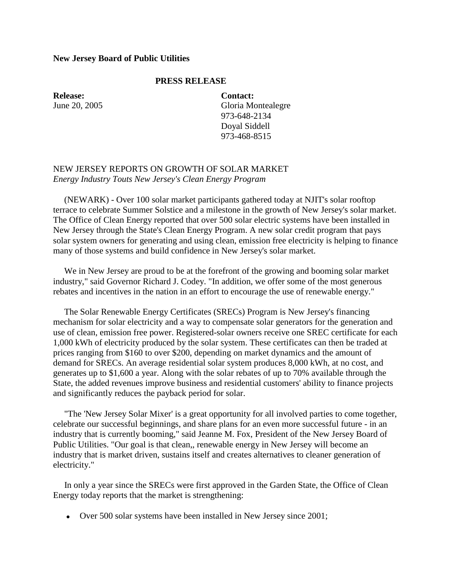## **New Jersey Board of Public Utilities**

## **PRESS RELEASE**

**Release:** June 20, 2005

**Contact:** Gloria Montealegre 973-648-2134 Doyal Siddell 973-468-8515

## NEW JERSEY REPORTS ON GROWTH OF SOLAR MARKET *Energy Industry Touts New Jersey's Clean Energy Program*

 (NEWARK) - Over 100 solar market participants gathered today at NJIT's solar rooftop terrace to celebrate Summer Solstice and a milestone in the growth of New Jersey's solar market. The Office of Clean Energy reported that over 500 solar electric systems have been installed in New Jersey through the State's Clean Energy Program. A new solar credit program that pays solar system owners for generating and using clean, emission free electricity is helping to finance many of those systems and build confidence in New Jersey's solar market.

 We in New Jersey are proud to be at the forefront of the growing and booming solar market industry," said Governor Richard J. Codey. "In addition, we offer some of the most generous rebates and incentives in the nation in an effort to encourage the use of renewable energy."

 The Solar Renewable Energy Certificates (SRECs) Program is New Jersey's financing mechanism for solar electricity and a way to compensate solar generators for the generation and use of clean, emission free power. Registered-solar owners receive one SREC certificate for each 1,000 kWh of electricity produced by the solar system. These certificates can then be traded at prices ranging from \$160 to over \$200, depending on market dynamics and the amount of demand for SRECs. An average residential solar system produces 8,000 kWh, at no cost, and generates up to \$1,600 a year. Along with the solar rebates of up to 70% available through the State, the added revenues improve business and residential customers' ability to finance projects and significantly reduces the payback period for solar.

 "The 'New Jersey Solar Mixer' is a great opportunity for all involved parties to come together, celebrate our successful beginnings, and share plans for an even more successful future - in an industry that is currently booming," said Jeanne M. Fox, President of the New Jersey Board of Public Utilities. "Our goal is that clean,, renewable energy in New Jersey will become an industry that is market driven, sustains itself and creates alternatives to cleaner generation of electricity."

 In only a year since the SRECs were first approved in the Garden State, the Office of Clean Energy today reports that the market is strengthening:

Over 500 solar systems have been installed in New Jersey since 2001;